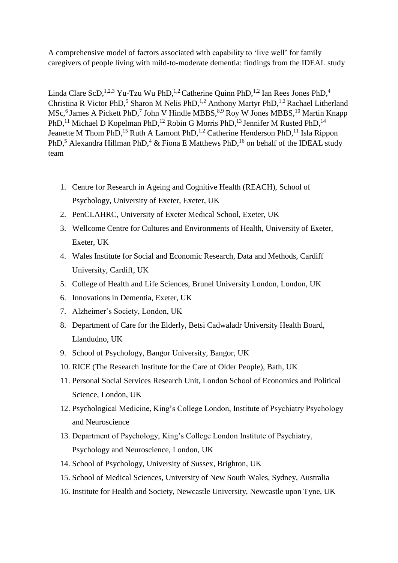A comprehensive model of factors associated with capability to 'live well' for family caregivers of people living with mild-to-moderate dementia: findings from the IDEAL study

Linda Clare ScD,<sup>1,2,3</sup> Yu-Tzu Wu PhD,<sup>1,2</sup> Catherine Quinn PhD,<sup>1,2</sup> Ian Rees Jones PhD,<sup>4</sup> Christina R Victor PhD,<sup>5</sup> Sharon M Nelis PhD,<sup>1,2</sup> Anthony Martyr PhD,<sup>1,2</sup> Rachael Litherland MSc,<sup>6</sup> James A Pickett PhD,<sup>7</sup> John V Hindle MBBS,<sup>8,9</sup> Roy W Jones MBBS,<sup>10</sup> Martin Knapp PhD,<sup>11</sup> Michael D Kopelman PhD,<sup>12</sup> Robin G Morris PhD,<sup>13</sup> Jennifer M Rusted PhD,<sup>14</sup> Jeanette M Thom PhD,<sup>15</sup> Ruth A Lamont PhD,<sup>1,2</sup> Catherine Henderson PhD,<sup>11</sup> Isla Rippon PhD,<sup>5</sup> Alexandra Hillman PhD,<sup>4</sup> & Fiona E Matthews PhD,<sup>16</sup> on behalf of the IDEAL study team

- 1. Centre for Research in Ageing and Cognitive Health (REACH), School of Psychology, University of Exeter, Exeter, UK
- 2. PenCLAHRC, University of Exeter Medical School, Exeter, UK
- 3. Wellcome Centre for Cultures and Environments of Health, University of Exeter, Exeter, UK
- 4. Wales Institute for Social and Economic Research, Data and Methods, Cardiff University, Cardiff, UK
- 5. College of Health and Life Sciences, Brunel University London, London, UK
- 6. Innovations in Dementia, Exeter, UK
- 7. Alzheimer's Society, London, UK
- 8. Department of Care for the Elderly, Betsi Cadwaladr University Health Board, Llandudno, UK
- 9. School of Psychology, Bangor University, Bangor, UK
- 10. RICE (The Research Institute for the Care of Older People), Bath, UK
- 11. Personal Social Services Research Unit, London School of Economics and Political Science, London, UK
- 12. Psychological Medicine, King's College London, Institute of Psychiatry Psychology and Neuroscience
- 13. Department of Psychology, King's College London Institute of Psychiatry, Psychology and Neuroscience, London, UK
- 14. School of Psychology, University of Sussex, Brighton, UK
- 15. School of Medical Sciences, University of New South Wales, Sydney, Australia
- 16. Institute for Health and Society, Newcastle University, Newcastle upon Tyne, UK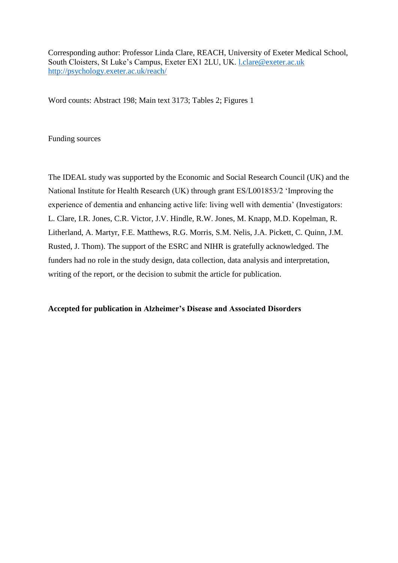Corresponding author: Professor Linda Clare, REACH, University of Exeter Medical School, South Cloisters, St Luke's Campus, Exeter EX1 2LU, UK. [l.clare@exeter.ac.uk](mailto:l.clare@exeter.ac.uk) <http://psychology.exeter.ac.uk/reach/>

Word counts: Abstract 198; Main text 3173; Tables 2; Figures 1

Funding sources

The IDEAL study was supported by the Economic and Social Research Council (UK) and the National Institute for Health Research (UK) through grant ES/L001853/2 'Improving the experience of dementia and enhancing active life: living well with dementia' (Investigators: L. Clare, I.R. Jones, C.R. Victor, J.V. Hindle, R.W. Jones, M. Knapp, M.D. Kopelman, R. Litherland, A. Martyr, F.E. Matthews, R.G. Morris, S.M. Nelis, J.A. Pickett, C. Quinn, J.M. Rusted, J. Thom). The support of the ESRC and NIHR is gratefully acknowledged. The funders had no role in the study design, data collection, data analysis and interpretation, writing of the report, or the decision to submit the article for publication.

# **Accepted for publication in Alzheimer's Disease and Associated Disorders**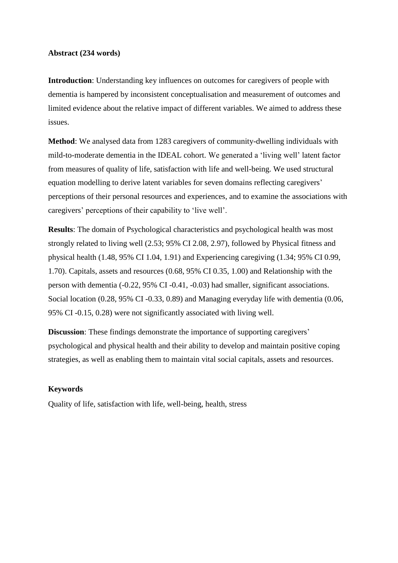# **Abstract (234 words)**

**Introduction**: Understanding key influences on outcomes for caregivers of people with dementia is hampered by inconsistent conceptualisation and measurement of outcomes and limited evidence about the relative impact of different variables. We aimed to address these issues.

**Method**: We analysed data from 1283 caregivers of community-dwelling individuals with mild-to-moderate dementia in the IDEAL cohort. We generated a 'living well' latent factor from measures of quality of life, satisfaction with life and well-being. We used structural equation modelling to derive latent variables for seven domains reflecting caregivers' perceptions of their personal resources and experiences, and to examine the associations with caregivers' perceptions of their capability to 'live well'.

**Results**: The domain of Psychological characteristics and psychological health was most strongly related to living well (2.53; 95% CI 2.08, 2.97), followed by Physical fitness and physical health (1.48, 95% CI 1.04, 1.91) and Experiencing caregiving (1.34; 95% CI 0.99, 1.70). Capitals, assets and resources (0.68, 95% CI 0.35, 1.00) and Relationship with the person with dementia (-0.22, 95% CI -0.41, -0.03) had smaller, significant associations. Social location (0.28, 95% CI -0.33, 0.89) and Managing everyday life with dementia (0.06, 95% CI -0.15, 0.28) were not significantly associated with living well.

**Discussion**: These findings demonstrate the importance of supporting caregivers' psychological and physical health and their ability to develop and maintain positive coping strategies, as well as enabling them to maintain vital social capitals, assets and resources.

## **Keywords**

Quality of life, satisfaction with life, well-being, health, stress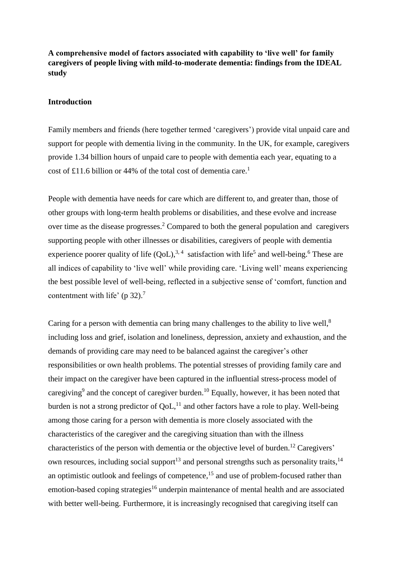**A comprehensive model of factors associated with capability to 'live well' for family caregivers of people living with mild-to-moderate dementia: findings from the IDEAL study**

# **Introduction**

Family members and friends (here together termed 'caregivers') provide vital unpaid care and support for people with dementia living in the community. In the UK, for example, caregivers provide 1.34 billion hours of unpaid care to people with dementia each year, equating to a cost of £11.6 billion or 44% of the total cost of dementia care. [1](#page-13-0)

People with dementia have needs for care which are different to, and greater than, those of other groups with long-term health problems or disabilities, and these evolve and increase over time as the disease progresses. [2](#page-13-1) Compared to both the general population and caregivers supporting people with other illnesses or disabilities, caregivers of people with dementia experience poorer quality of life  $(QoL)$ ,<sup>[3,](#page-13-2)4</sup> satisfaction with life<sup>[5](#page-13-4)</sup> and well-being.<sup>[6](#page-13-5)</sup> These are all indices of capability to 'live well' while providing care. 'Living well' means experiencing the best possible level of well-being, reflected in a subjective sense of 'comfort, function and contentment with life' ( $p$  32).<sup>[7](#page-13-6)</sup>

Caring for a person with dementia can bring many challenges to the ability to live well,<sup>[8](#page-13-7)</sup> including loss and grief, isolation and loneliness, depression, anxiety and exhaustion, and the demands of providing care may need to be balanced against the caregiver's other responsibilities or own health problems. The potential stresses of providing family care and their impact on the caregiver have been captured in the influential stress-process model of caregiving<sup>[9](#page-13-8)</sup> and the concept of caregiver burden.<sup>[10](#page-13-9)</sup> Equally, however, it has been noted that burden is not a strong predictor of  $QoL$ ,<sup>[11](#page-13-10)</sup> and other factors have a role to play. Well-being among those caring for a person with dementia is more closely associated with the characteristics of the caregiver and the caregiving situation than with the illness characteristics of the person with dementia or the objective level of burden.[12](#page-13-11) Caregivers' own resources, including social support<sup>[13](#page-13-12)</sup> and personal strengths such as personality traits,  $14$ an optimistic outlook and feelings of competence,<sup>[15](#page-14-1)</sup> and use of problem-focused rather than emotion-based coping strategies<sup>[16](#page-14-2)</sup> underpin maintenance of mental health and are associated with better well-being. Furthermore, it is increasingly recognised that caregiving itself can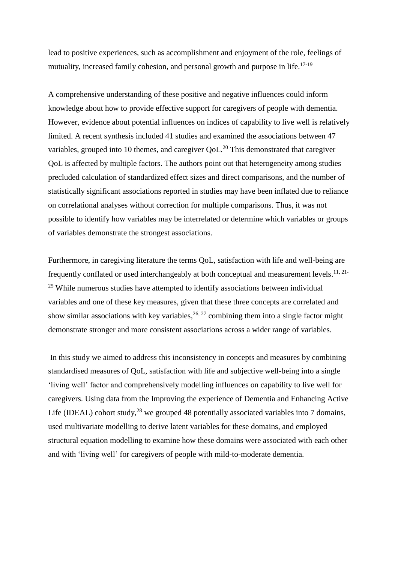lead to positive experiences, such as accomplishment and enjoyment of the role, feelings of mutuality, increased family cohesion, and personal growth and purpose in life.<sup>[17-19](#page-14-3)</sup>

A comprehensive understanding of these positive and negative influences could inform knowledge about how to provide effective support for caregivers of people with dementia. However, evidence about potential influences on indices of capability to live well is relatively limited. A recent synthesis included 41 studies and examined the associations between 47 variables, grouped into 10 themes, and caregiver  $QoL$ <sup>[20](#page-14-4)</sup> This demonstrated that caregiver QoL is affected by multiple factors. The authors point out that heterogeneity among studies precluded calculation of standardized effect sizes and direct comparisons, and the number of statistically significant associations reported in studies may have been inflated due to reliance on correlational analyses without correction for multiple comparisons. Thus, it was not possible to identify how variables may be interrelated or determine which variables or groups of variables demonstrate the strongest associations.

Furthermore, in caregiving literature the terms QoL, satisfaction with life and well-being are frequently conflated or used interchangeably at both conceptual and measurement levels.<sup>[11,](#page-13-10) [21-](#page-14-5)</sup> <sup>[25](#page-14-5)</sup> While numerous studies have attempted to identify associations between individual variables and one of these key measures, given that these three concepts are correlated and show similar associations with key variables,  $26, 27$  $26, 27$  combining them into a single factor might demonstrate stronger and more consistent associations across a wider range of variables.

In this study we aimed to address this inconsistency in concepts and measures by combining standardised measures of QoL, satisfaction with life and subjective well-being into a single 'living well' factor and comprehensively modelling influences on capability to live well for caregivers. Using data from the Improving the experience of Dementia and Enhancing Active Life (IDEAL) cohort study, $^{28}$  $^{28}$  $^{28}$  we grouped 48 potentially associated variables into 7 domains, used multivariate modelling to derive latent variables for these domains, and employed structural equation modelling to examine how these domains were associated with each other and with 'living well' for caregivers of people with mild-to-moderate dementia.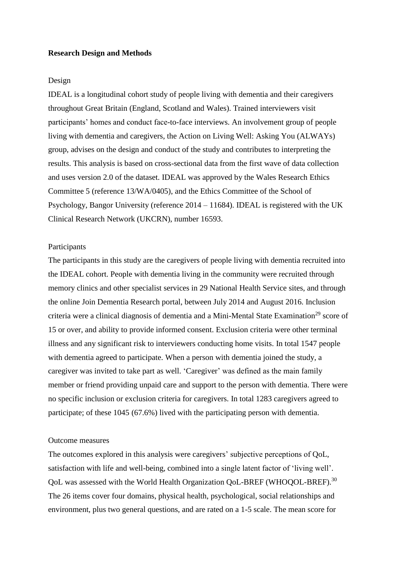## **Research Design and Methods**

# Design

IDEAL is a longitudinal cohort study of people living with dementia and their caregivers throughout Great Britain (England, Scotland and Wales). Trained interviewers visit participants' homes and conduct face-to-face interviews. An involvement group of people living with dementia and caregivers, the Action on Living Well: Asking You (ALWAYs) group, advises on the design and conduct of the study and contributes to interpreting the results. This analysis is based on cross-sectional data from the first wave of data collection and uses version 2.0 of the dataset. IDEAL was approved by the Wales Research Ethics Committee 5 (reference 13/WA/0405), and the Ethics Committee of the School of Psychology, Bangor University (reference 2014 – 11684). IDEAL is registered with the UK Clinical Research Network (UKCRN), number 16593.

## Participants

The participants in this study are the caregivers of people living with dementia recruited into the IDEAL cohort. People with dementia living in the community were recruited through memory clinics and other specialist services in 29 National Health Service sites, and through the online Join Dementia Research portal, between July 2014 and August 2016. Inclusion criteria were a clinical diagnosis of dementia and a Mini-Mental State Examination<sup>[29](#page-15-3)</sup> score of 15 or over, and ability to provide informed consent. Exclusion criteria were other terminal illness and any significant risk to interviewers conducting home visits. In total 1547 people with dementia agreed to participate. When a person with dementia joined the study, a caregiver was invited to take part as well. 'Caregiver' was defined as the main family member or friend providing unpaid care and support to the person with dementia. There were no specific inclusion or exclusion criteria for caregivers. In total 1283 caregivers agreed to participate; of these 1045 (67.6%) lived with the participating person with dementia.

# Outcome measures

The outcomes explored in this analysis were caregivers' subjective perceptions of QoL, satisfaction with life and well-being, combined into a single latent factor of 'living well'. QoL was assessed with the World Health Organization QoL-BREF (WHOQOL-BREF).<sup>[30](#page-15-4)</sup> The 26 items cover four domains, physical health, psychological, social relationships and environment, plus two general questions, and are rated on a 1-5 scale. The mean score for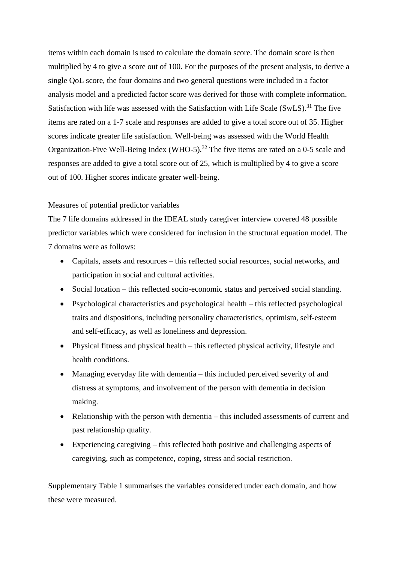items within each domain is used to calculate the domain score. The domain score is then multiplied by 4 to give a score out of 100. For the purposes of the present analysis, to derive a single QoL score, the four domains and two general questions were included in a factor analysis model and a predicted factor score was derived for those with complete information. Satisfaction with life was assessed with the Satisfaction with Life Scale (SwLS).<sup>[31](#page-15-5)</sup> The five items are rated on a 1-7 scale and responses are added to give a total score out of 35. Higher scores indicate greater life satisfaction. Well-being was assessed with the World Health Organization-Five Well-Being Index (WHO-5).<sup>[32](#page-15-6)</sup> The five items are rated on a 0-5 scale and responses are added to give a total score out of 25, which is multiplied by 4 to give a score out of 100. Higher scores indicate greater well-being.

# Measures of potential predictor variables

The 7 life domains addressed in the IDEAL study caregiver interview covered 48 possible predictor variables which were considered for inclusion in the structural equation model. The 7 domains were as follows:

- Capitals, assets and resources this reflected social resources, social networks, and participation in social and cultural activities.
- Social location this reflected socio-economic status and perceived social standing.
- Psychological characteristics and psychological health this reflected psychological traits and dispositions, including personality characteristics, optimism, self-esteem and self-efficacy, as well as loneliness and depression.
- Physical fitness and physical health this reflected physical activity, lifestyle and health conditions.
- Managing everyday life with dementia this included perceived severity of and distress at symptoms, and involvement of the person with dementia in decision making.
- Relationship with the person with dementia this included assessments of current and past relationship quality.
- Experiencing caregiving this reflected both positive and challenging aspects of caregiving, such as competence, coping, stress and social restriction.

Supplementary Table 1 summarises the variables considered under each domain, and how these were measured.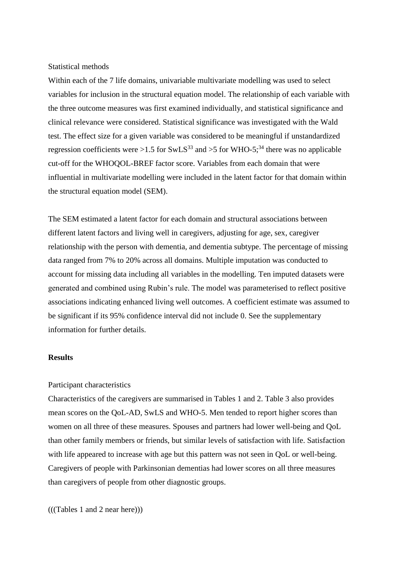### Statistical methods

Within each of the 7 life domains, univariable multivariate modelling was used to select variables for inclusion in the structural equation model. The relationship of each variable with the three outcome measures was first examined individually, and statistical significance and clinical relevance were considered. Statistical significance was investigated with the Wald test. The effect size for a given variable was considered to be meaningful if unstandardized regression coefficients were >1.5 for SwLS<sup>[33](#page-15-7)</sup> and >5 for WHO-5;<sup>[34](#page-15-8)</sup> there was no applicable cut-off for the WHOQOL-BREF factor score. Variables from each domain that were influential in multivariate modelling were included in the latent factor for that domain within the structural equation model (SEM).

The SEM estimated a latent factor for each domain and structural associations between different latent factors and living well in caregivers, adjusting for age, sex, caregiver relationship with the person with dementia, and dementia subtype. The percentage of missing data ranged from 7% to 20% across all domains. Multiple imputation was conducted to account for missing data including all variables in the modelling. Ten imputed datasets were generated and combined using Rubin's rule. The model was parameterised to reflect positive associations indicating enhanced living well outcomes. A coefficient estimate was assumed to be significant if its 95% confidence interval did not include 0. See the supplementary information for further details.

# **Results**

## Participant characteristics

Characteristics of the caregivers are summarised in Tables 1 and 2. Table 3 also provides mean scores on the QoL-AD, SwLS and WHO-5. Men tended to report higher scores than women on all three of these measures. Spouses and partners had lower well-being and QoL than other family members or friends, but similar levels of satisfaction with life. Satisfaction with life appeared to increase with age but this pattern was not seen in QoL or well-being. Caregivers of people with Parkinsonian dementias had lower scores on all three measures than caregivers of people from other diagnostic groups.

(((Tables 1 and 2 near here)))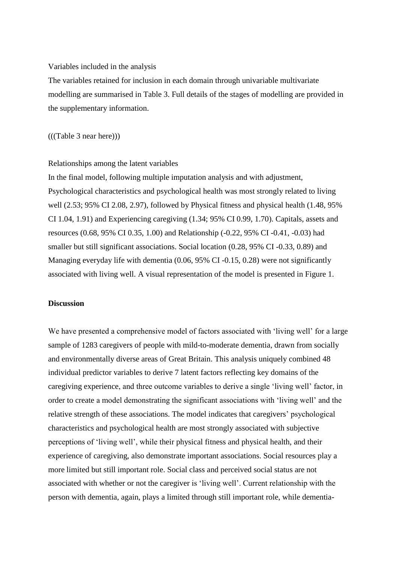### Variables included in the analysis

The variables retained for inclusion in each domain through univariable multivariate modelling are summarised in Table 3. Full details of the stages of modelling are provided in the supplementary information.

(((Table 3 near here)))

## Relationships among the latent variables

In the final model, following multiple imputation analysis and with adjustment, Psychological characteristics and psychological health was most strongly related to living well (2.53; 95% CI 2.08, 2.97), followed by Physical fitness and physical health (1.48, 95% CI 1.04, 1.91) and Experiencing caregiving (1.34; 95% CI 0.99, 1.70). Capitals, assets and resources (0.68, 95% CI 0.35, 1.00) and Relationship (-0.22, 95% CI -0.41, -0.03) had smaller but still significant associations. Social location (0.28, 95% CI -0.33, 0.89) and Managing everyday life with dementia (0.06, 95% CI -0.15, 0.28) were not significantly associated with living well. A visual representation of the model is presented in Figure 1.

# **Discussion**

We have presented a comprehensive model of factors associated with 'living well' for a large sample of 1283 caregivers of people with mild-to-moderate dementia, drawn from socially and environmentally diverse areas of Great Britain. This analysis uniquely combined 48 individual predictor variables to derive 7 latent factors reflecting key domains of the caregiving experience, and three outcome variables to derive a single 'living well' factor, in order to create a model demonstrating the significant associations with 'living well' and the relative strength of these associations. The model indicates that caregivers' psychological characteristics and psychological health are most strongly associated with subjective perceptions of 'living well', while their physical fitness and physical health, and their experience of caregiving, also demonstrate important associations. Social resources play a more limited but still important role. Social class and perceived social status are not associated with whether or not the caregiver is 'living well'. Current relationship with the person with dementia, again, plays a limited through still important role, while dementia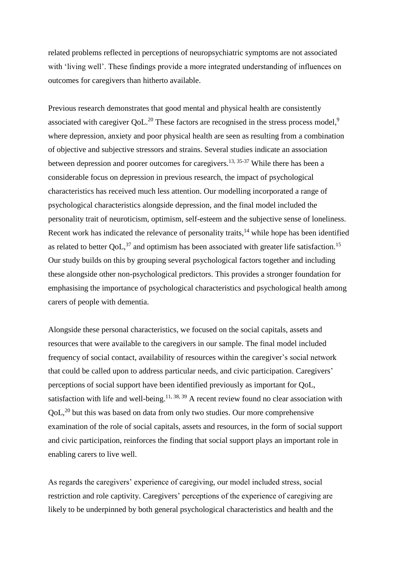related problems reflected in perceptions of neuropsychiatric symptoms are not associated with 'living well'. These findings provide a more integrated understanding of influences on outcomes for caregivers than hitherto available.

Previous research demonstrates that good mental and physical health are consistently associated with caregiver QoL.<sup>[20](#page-14-4)</sup> These factors are recognised in the stress process model,<sup>[9](#page-13-8)</sup> where depression, anxiety and poor physical health are seen as resulting from a combination of objective and subjective stressors and strains. Several studies indicate an association between depression and poorer outcomes for caregivers.<sup>[13,](#page-13-12) [35-37](#page-15-9)</sup> While there has been a considerable focus on depression in previous research, the impact of psychological characteristics has received much less attention. Our modelling incorporated a range of psychological characteristics alongside depression, and the final model included the personality trait of neuroticism, optimism, self-esteem and the subjective sense of loneliness. Recent work has indicated the relevance of personality traits,<sup>[14](#page-14-0)</sup> while hope has been identified as related to better QoL, $37$  and optimism has been associated with greater life satisfaction.<sup>[15](#page-14-1)</sup> Our study builds on this by grouping several psychological factors together and including these alongside other non-psychological predictors. This provides a stronger foundation for emphasising the importance of psychological characteristics and psychological health among carers of people with dementia.

Alongside these personal characteristics, we focused on the social capitals, assets and resources that were available to the caregivers in our sample. The final model included frequency of social contact, availability of resources within the caregiver's social network that could be called upon to address particular needs, and civic participation. Caregivers' perceptions of social support have been identified previously as important for QoL, satisfaction with life and well-being.<sup>[11,](#page-13-10) [38,](#page-16-0) [39](#page-16-1)</sup> A recent review found no clear association with  $QoL<sub>1</sub><sup>20</sup>$  $QoL<sub>1</sub><sup>20</sup>$  $QoL<sub>1</sub><sup>20</sup>$  but this was based on data from only two studies. Our more comprehensive examination of the role of social capitals, assets and resources, in the form of social support and civic participation, reinforces the finding that social support plays an important role in enabling carers to live well.

As regards the caregivers' experience of caregiving, our model included stress, social restriction and role captivity. Caregivers' perceptions of the experience of caregiving are likely to be underpinned by both general psychological characteristics and health and the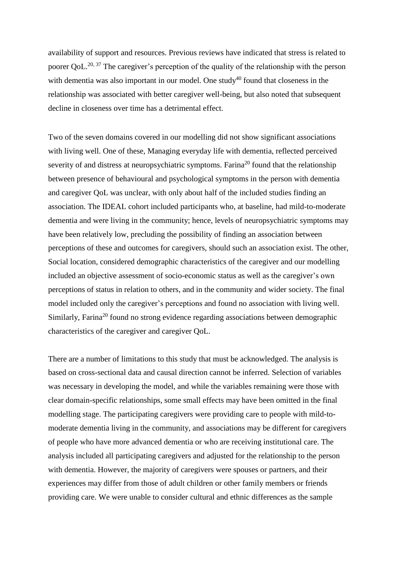availability of support and resources. Previous reviews have indicated that stress is related to poorer QoL.<sup>[20,](#page-14-4) [37](#page-15-10)</sup> The caregiver's perception of the quality of the relationship with the person with dementia was also important in our model. One study<sup>[40](#page-16-2)</sup> found that closeness in the relationship was associated with better caregiver well-being, but also noted that subsequent decline in closeness over time has a detrimental effect.

Two of the seven domains covered in our modelling did not show significant associations with living well. One of these, Managing everyday life with dementia, reflected perceived severity of and distress at neuropsychiatric symptoms. Farina<sup>[20](#page-14-4)</sup> found that the relationship between presence of behavioural and psychological symptoms in the person with dementia and caregiver QoL was unclear, with only about half of the included studies finding an association. The IDEAL cohort included participants who, at baseline, had mild-to-moderate dementia and were living in the community; hence, levels of neuropsychiatric symptoms may have been relatively low, precluding the possibility of finding an association between perceptions of these and outcomes for caregivers, should such an association exist. The other, Social location, considered demographic characteristics of the caregiver and our modelling included an objective assessment of socio-economic status as well as the caregiver's own perceptions of status in relation to others, and in the community and wider society. The final model included only the caregiver's perceptions and found no association with living well. Similarly, Farina<sup>[20](#page-14-4)</sup> found no strong evidence regarding associations between demographic characteristics of the caregiver and caregiver QoL.

There are a number of limitations to this study that must be acknowledged. The analysis is based on cross-sectional data and causal direction cannot be inferred. Selection of variables was necessary in developing the model, and while the variables remaining were those with clear domain-specific relationships, some small effects may have been omitted in the final modelling stage. The participating caregivers were providing care to people with mild-tomoderate dementia living in the community, and associations may be different for caregivers of people who have more advanced dementia or who are receiving institutional care. The analysis included all participating caregivers and adjusted for the relationship to the person with dementia. However, the majority of caregivers were spouses or partners, and their experiences may differ from those of adult children or other family members or friends providing care. We were unable to consider cultural and ethnic differences as the sample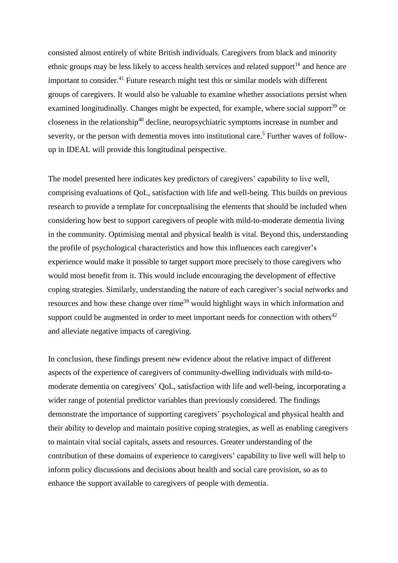consisted almost entirely of white British individuals. Caregivers from black and minority ethnic groups may be less likely to access health services and related support<sup>[16](#page-14-2)</sup> and hence are important to consider. [41](#page-16-3) Future research might test this or similar models with different groups of caregivers. It would also be valuable to examine whether associations persist when examined longitudinally. Changes might be expected, for example, where social support<sup>[39](#page-16-1)</sup> or closeness in the relationship $40$  decline, neuropsychiatric symptoms increase in number and severity, or the person with dementia moves into institutional care.<sup>[5](#page-13-4)</sup> Further waves of followup in IDEAL will provide this longitudinal perspective.

The model presented here indicates key predictors of caregivers' capability to live well, comprising evaluations of QoL, satisfaction with life and well-being. This builds on previous research to provide a template for conceptualising the elements that should be included when considering how best to support caregivers of people with mild-to-moderate dementia living in the community. Optimising mental and physical health is vital. Beyond this, understanding the profile of psychological characteristics and how this influences each caregiver's experience would make it possible to target support more precisely to those caregivers who would most benefit from it. This would include encouraging the development of effective coping strategies. Similarly, understanding the nature of each caregiver's social networks and resources and how these change over time<sup>[39](#page-16-1)</sup> would highlight ways in which information and support could be augmented in order to meet important needs for connection with others $42$ and alleviate negative impacts of caregiving.

In conclusion, these findings present new evidence about the relative impact of different aspects of the experience of caregivers of community-dwelling individuals with mild-tomoderate dementia on caregivers' QoL, satisfaction with life and well-being, incorporating a wider range of potential predictor variables than previously considered. The findings demonstrate the importance of supporting caregivers' psychological and physical health and their ability to develop and maintain positive coping strategies, as well as enabling caregivers to maintain vital social capitals, assets and resources. Greater understanding of the contribution of these domains of experience to caregivers' capability to live well will help to inform policy discussions and decisions about health and social care provision, so as to enhance the support available to caregivers of people with dementia.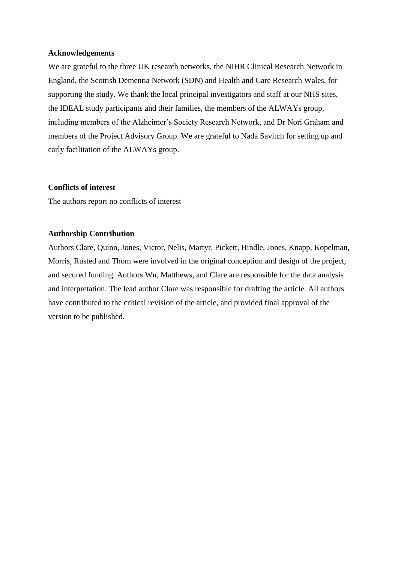# **Acknowledgements**

We are grateful to the three UK research networks, the NIHR Clinical Research Network in England, the Scottish Dementia Network (SDN) and Health and Care Research Wales, for supporting the study. We thank the local principal investigators and staff at our NHS sites, the IDEAL study participants and their families, the members of the ALWAYs group, including members of the Alzheimer's Society Research Network, and Dr Nori Graham and members of the Project Advisory Group. We are grateful to Nada Savitch for setting up and early facilitation of the ALWAYs group.

# **Conflicts of interest**

The authors report no conflicts of interest

# **Authorship Contribution**

Authors Clare, Quinn, Jones, Victor, Nelis, Martyr, Pickett, Hindle, Jones, Knapp, Kopelman, Morris, Rusted and Thom were involved in the original conception and design of the project, and secured funding. Authors Wu, Matthews, and Clare are responsible for the data analysis and interpretation. The lead author Clare was responsible for drafting the article. All authors have contributed to the critical revision of the article, and provided final approval of the version to be published.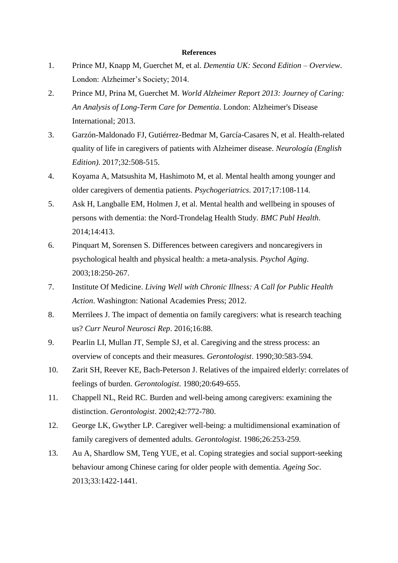#### **References**

- <span id="page-13-0"></span>1. Prince MJ, Knapp M, Guerchet M, et al. *Dementia UK: Second Edition – Overview*. London: Alzheimer's Society; 2014.
- <span id="page-13-1"></span>2. Prince MJ, Prina M, Guerchet M. *World Alzheimer Report 2013: Journey of Caring: An Analysis of Long-Term Care for Dementia*. London: Alzheimer's Disease International; 2013.
- <span id="page-13-2"></span>3. Garzón-Maldonado FJ, Gutiérrez-Bedmar M, García-Casares N, et al. Health-related quality of life in caregivers of patients with Alzheimer disease. *Neurología (English Edition)*. 2017;32:508-515.
- <span id="page-13-3"></span>4. Koyama A, Matsushita M, Hashimoto M, et al. Mental health among younger and older caregivers of dementia patients. *Psychogeriatrics*. 2017;17:108-114.
- <span id="page-13-4"></span>5. Ask H, Langballe EM, Holmen J, et al. Mental health and wellbeing in spouses of persons with dementia: the Nord-Trondelag Health Study. *BMC Publ Health*. 2014;14:413.
- <span id="page-13-5"></span>6. Pinquart M, Sorensen S. Differences between caregivers and noncaregivers in psychological health and physical health: a meta-analysis. *Psychol Aging*. 2003;18:250-267.
- <span id="page-13-6"></span>7. Institute Of Medicine. *Living Well with Chronic Illness: A Call for Public Health Action*. Washington: National Academies Press; 2012.
- <span id="page-13-7"></span>8. Merrilees J. The impact of dementia on family caregivers: what is research teaching us? *Curr Neurol Neurosci Rep*. 2016;16:88.
- <span id="page-13-8"></span>9. Pearlin LI, Mullan JT, Semple SJ, et al. Caregiving and the stress process: an overview of concepts and their measures. *Gerontologist*. 1990;30:583-594.
- <span id="page-13-9"></span>10. Zarit SH, Reever KE, Bach-Peterson J. Relatives of the impaired elderly: correlates of feelings of burden. *Gerontologist*. 1980;20:649-655.
- <span id="page-13-10"></span>11. Chappell NL, Reid RC. Burden and well-being among caregivers: examining the distinction. *Gerontologist*. 2002;42:772-780.
- <span id="page-13-11"></span>12. George LK, Gwyther LP. Caregiver well-being: a multidimensional examination of family caregivers of demented adults. *Gerontologist*. 1986;26:253-259.
- <span id="page-13-12"></span>13. Au A, Shardlow SM, Teng YUE, et al. Coping strategies and social support-seeking behaviour among Chinese caring for older people with dementia. *Ageing Soc*. 2013;33:1422-1441.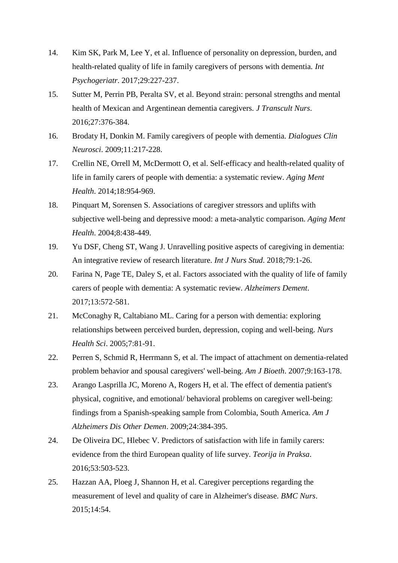- <span id="page-14-0"></span>14. Kim SK, Park M, Lee Y, et al. Influence of personality on depression, burden, and health-related quality of life in family caregivers of persons with dementia. *Int Psychogeriatr*. 2017;29:227-237.
- <span id="page-14-1"></span>15. Sutter M, Perrin PB, Peralta SV, et al. Beyond strain: personal strengths and mental health of Mexican and Argentinean dementia caregivers. *J Transcult Nurs*. 2016;27:376-384.
- <span id="page-14-2"></span>16. Brodaty H, Donkin M. Family caregivers of people with dementia. *Dialogues Clin Neurosci*. 2009;11:217-228.
- <span id="page-14-3"></span>17. Crellin NE, Orrell M, McDermott O, et al. Self-efficacy and health-related quality of life in family carers of people with dementia: a systematic review. *Aging Ment Health*. 2014;18:954-969.
- 18. Pinquart M, Sorensen S. Associations of caregiver stressors and uplifts with subjective well-being and depressive mood: a meta-analytic comparison. *Aging Ment Health*. 2004;8:438-449.
- 19. Yu DSF, Cheng ST, Wang J. Unravelling positive aspects of caregiving in dementia: An integrative review of research literature. *Int J Nurs Stud*. 2018;79:1-26.
- <span id="page-14-4"></span>20. Farina N, Page TE, Daley S, et al. Factors associated with the quality of life of family carers of people with dementia: A systematic review. *Alzheimers Dement*. 2017;13:572-581.
- <span id="page-14-5"></span>21. McConaghy R, Caltabiano ML. Caring for a person with dementia: exploring relationships between perceived burden, depression, coping and well-being. *Nurs Health Sci*. 2005;7:81-91.
- 22. Perren S, Schmid R, Herrmann S, et al. The impact of attachment on dementia-related problem behavior and spousal caregivers' well-being. *Am J Bioeth*. 2007;9:163-178.
- 23. Arango Lasprilla JC, Moreno A, Rogers H, et al. The effect of dementia patient's physical, cognitive, and emotional/ behavioral problems on caregiver well-being: findings from a Spanish-speaking sample from Colombia, South America. *Am J Alzheimers Dis Other Demen*. 2009;24:384-395.
- 24. De Oliveira DC, Hlebec V. Predictors of satisfaction with life in family carers: evidence from the third European quality of life survey. *Teorija in Praksa*. 2016;53:503-523.
- 25. Hazzan AA, Ploeg J, Shannon H, et al. Caregiver perceptions regarding the measurement of level and quality of care in Alzheimer's disease. *BMC Nurs*. 2015;14:54.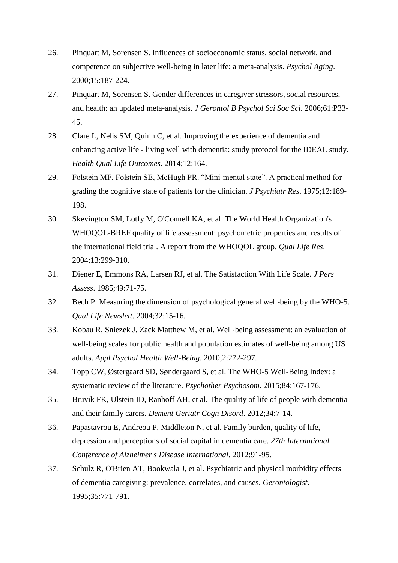- <span id="page-15-0"></span>26. Pinquart M, Sorensen S. Influences of socioeconomic status, social network, and competence on subjective well-being in later life: a meta-analysis. *Psychol Aging*. 2000;15:187-224.
- <span id="page-15-1"></span>27. Pinquart M, Sorensen S. Gender differences in caregiver stressors, social resources, and health: an updated meta-analysis. *J Gerontol B Psychol Sci Soc Sci*. 2006;61:P33- 45.
- <span id="page-15-2"></span>28. Clare L, Nelis SM, Quinn C, et al. Improving the experience of dementia and enhancing active life - living well with dementia: study protocol for the IDEAL study. *Health Qual Life Outcomes*. 2014;12:164.
- <span id="page-15-3"></span>29. Folstein MF, Folstein SE, McHugh PR. "Mini-mental state". A practical method for grading the cognitive state of patients for the clinician. *J Psychiatr Res*. 1975;12:189- 198.
- <span id="page-15-4"></span>30. Skevington SM, Lotfy M, O'Connell KA, et al. The World Health Organization's WHOQOL-BREF quality of life assessment: psychometric properties and results of the international field trial. A report from the WHOQOL group. *Qual Life Res*. 2004;13:299-310.
- <span id="page-15-5"></span>31. Diener E, Emmons RA, Larsen RJ, et al. The Satisfaction With Life Scale. *J Pers Assess*. 1985;49:71-75.
- <span id="page-15-6"></span>32. Bech P. Measuring the dimension of psychological general well-being by the WHO-5. *Qual Life Newslett*. 2004;32:15-16.
- <span id="page-15-7"></span>33. Kobau R, Sniezek J, Zack Matthew M, et al. Well‐being assessment: an evaluation of well-being scales for public health and population estimates of well-being among US adults. *Appl Psychol Health Well-Being*. 2010;2:272-297.
- <span id="page-15-8"></span>34. Topp CW, Østergaard SD, Søndergaard S, et al. The WHO-5 Well-Being Index: a systematic review of the literature. *Psychother Psychosom*. 2015;84:167-176.
- <span id="page-15-9"></span>35. Bruvik FK, Ulstein ID, Ranhoff AH, et al. The quality of life of people with dementia and their family carers. *Dement Geriatr Cogn Disord*. 2012;34:7-14.
- 36. Papastavrou E, Andreou P, Middleton N, et al. Family burden, quality of life, depression and perceptions of social capital in dementia care. *27th International Conference of Alzheimer's Disease International*. 2012:91-95.
- <span id="page-15-10"></span>37. Schulz R, O'Brien AT, Bookwala J, et al. Psychiatric and physical morbidity effects of dementia caregiving: prevalence, correlates, and causes. *Gerontologist*. 1995;35:771-791.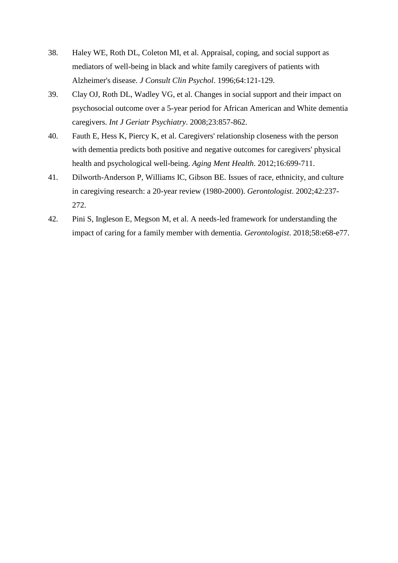- <span id="page-16-0"></span>38. Haley WE, Roth DL, Coleton MI, et al. Appraisal, coping, and social support as mediators of well-being in black and white family caregivers of patients with Alzheimer's disease. *J Consult Clin Psychol*. 1996;64:121-129.
- <span id="page-16-1"></span>39. Clay OJ, Roth DL, Wadley VG, et al. Changes in social support and their impact on psychosocial outcome over a 5-year period for African American and White dementia caregivers. *Int J Geriatr Psychiatry*. 2008;23:857-862.
- <span id="page-16-2"></span>40. Fauth E, Hess K, Piercy K, et al. Caregivers' relationship closeness with the person with dementia predicts both positive and negative outcomes for caregivers' physical health and psychological well-being. *Aging Ment Health*. 2012;16:699-711.
- <span id="page-16-3"></span>41. Dilworth-Anderson P, Williams IC, Gibson BE. Issues of race, ethnicity, and culture in caregiving research: a 20-year review (1980-2000). *Gerontologist*. 2002;42:237- 272.
- <span id="page-16-4"></span>42. Pini S, Ingleson E, Megson M, et al. A needs-led framework for understanding the impact of caring for a family member with dementia. *Gerontologist*. 2018;58:e68-e77.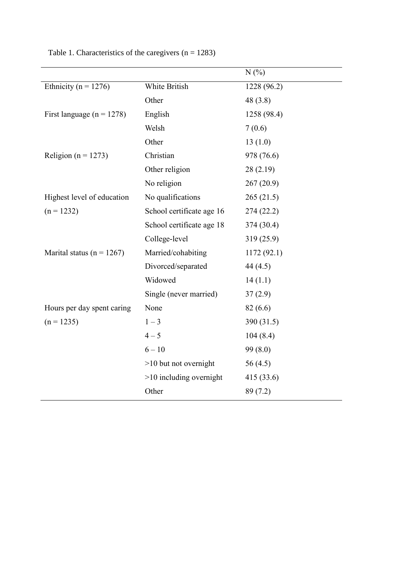|                               |                           | N(%)        |
|-------------------------------|---------------------------|-------------|
| Ethnicity ( $n = 1276$ )      | White British             | 1228 (96.2) |
|                               | Other                     | 48(3.8)     |
| First language ( $n = 1278$ ) | English                   | 1258 (98.4) |
|                               | Welsh                     | 7(0.6)      |
|                               | Other                     | 13(1.0)     |
| Religion ( $n = 1273$ )       | Christian                 | 978 (76.6)  |
|                               | Other religion            | 28(2.19)    |
|                               | No religion               | 267(20.9)   |
| Highest level of education    | No qualifications         | 265(21.5)   |
| $(n = 1232)$                  | School certificate age 16 | 274(22.2)   |
|                               | School certificate age 18 | 374 (30.4)  |
|                               | College-level             | 319 (25.9)  |
| Marital status ( $n = 1267$ ) | Married/cohabiting        | 1172(92.1)  |
|                               | Divorced/separated        | 44 $(4.5)$  |
|                               | Widowed                   | 14(1.1)     |
|                               | Single (never married)    | 37(2.9)     |
| Hours per day spent caring    | None                      | 82(6.6)     |
| $(n = 1235)$                  | $1 - 3$                   | 390 (31.5)  |
|                               | $4 - 5$                   | 104(8.4)    |
|                               | $6 - 10$                  | 99 (8.0)    |
|                               | $>10$ but not overnight   | 56 $(4.5)$  |
|                               | $>10$ including overnight | 415 (33.6)  |
|                               | Other                     | 89 (7.2)    |

Table 1. Characteristics of the caregivers  $(n = 1283)$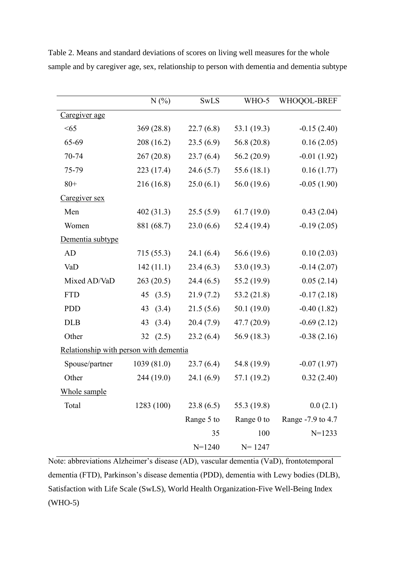|                                        | N(%)        | <b>SwLS</b> | WHO-5         | WHOQOL-BREF       |
|----------------------------------------|-------------|-------------|---------------|-------------------|
| Caregiver age                          |             |             |               |                   |
| <65                                    | 369(28.8)   | 22.7(6.8)   | 53.1 (19.3)   | $-0.15(2.40)$     |
| 65-69                                  | 208 (16.2)  | 23.5(6.9)   | 56.8 $(20.8)$ | 0.16(2.05)        |
| 70-74                                  | 267(20.8)   | 23.7(6.4)   | 56.2 $(20.9)$ | $-0.01(1.92)$     |
| 75-79                                  | 223 (17.4)  | 24.6(5.7)   | 55.6 $(18.1)$ | 0.16(1.77)        |
| $80+$                                  | 216 (16.8)  | 25.0(6.1)   | 56.0 (19.6)   | $-0.05(1.90)$     |
| Caregiver sex                          |             |             |               |                   |
| Men                                    | 402(31.3)   | 25.5(5.9)   | 61.7(19.0)    | 0.43(2.04)        |
| Women                                  | 881 (68.7)  | 23.0(6.6)   | 52.4(19.4)    | $-0.19(2.05)$     |
| Dementia subtype                       |             |             |               |                   |
| AD                                     | 715 (55.3)  | 24.1(6.4)   | 56.6(19.6)    | 0.10(2.03)        |
| VaD                                    | 142(11.1)   | 23.4(6.3)   | 53.0 $(19.3)$ | $-0.14(2.07)$     |
| Mixed AD/VaD                           | 263(20.5)   | 24.4(6.5)   | 55.2 (19.9)   | 0.05(2.14)        |
| <b>FTD</b>                             | 45 $(3.5)$  | 21.9(7.2)   | 53.2 $(21.8)$ | $-0.17(2.18)$     |
| <b>PDD</b>                             | (3.4)<br>43 | 21.5(5.6)   | 50.1 $(19.0)$ | $-0.40(1.82)$     |
| <b>DLB</b>                             | (3.4)<br>43 | 20.4(7.9)   | 47.7 (20.9)   | $-0.69(2.12)$     |
| Other                                  | 32(2.5)     | 23.2(6.4)   | 56.9(18.3)    | $-0.38(2.16)$     |
| Relationship with person with dementia |             |             |               |                   |
| Spouse/partner                         | 1039(81.0)  | 23.7(6.4)   | 54.8 (19.9)   | $-0.07(1.97)$     |
| Other                                  | 244 (19.0)  | 24.1(6.9)   | 57.1 (19.2)   | 0.32(2.40)        |
| Whole sample                           |             |             |               |                   |
| Total                                  | 1283 (100)  | 23.8(6.5)   | 55.3 (19.8)   | 0.0(2.1)          |
|                                        |             | Range 5 to  | Range 0 to    | Range -7.9 to 4.7 |
|                                        |             | 35          | 100           | $N=1233$          |
|                                        |             | $N = 1240$  | $N = 1247$    |                   |

Table 2. Means and standard deviations of scores on living well measures for the whole sample and by caregiver age, sex, relationship to person with dementia and dementia subtype

Note: abbreviations Alzheimer's disease (AD), vascular dementia (VaD), frontotemporal dementia (FTD), Parkinson's disease dementia (PDD), dementia with Lewy bodies (DLB), Satisfaction with Life Scale (SwLS), World Health Organization-Five Well-Being Index (WHO-5)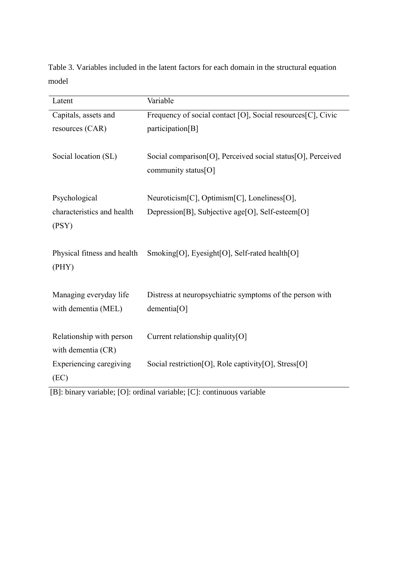Table 3. Variables included in the latent factors for each domain in the structural equation model

| Latent                                        | Variable                                                                            |
|-----------------------------------------------|-------------------------------------------------------------------------------------|
| Capitals, assets and                          | Frequency of social contact [O], Social resources[C], Civic                         |
| resources (CAR)                               | participation[B]                                                                    |
| Social location (SL)                          | Social comparison[O], Perceived social status[O], Perceived                         |
|                                               | community status[O]                                                                 |
| Psychological                                 | Neuroticism[C], Optimism[C], Loneliness[O],                                         |
| characteristics and health                    | Depression[B], Subjective age[O], Self-esteem[O]                                    |
| (PSY)                                         |                                                                                     |
| Physical fitness and health                   | Smoking[O], Eyesight[O], Self-rated health[O]                                       |
| (PHY)                                         |                                                                                     |
|                                               |                                                                                     |
| Managing everyday life<br>with dementia (MEL) | Distress at neuropsychiatric symptoms of the person with<br>dementia <sup>[O]</sup> |
|                                               |                                                                                     |
| Relationship with person                      | Current relationship quality[O]                                                     |
| with dementia (CR)                            |                                                                                     |
| Experiencing caregiving                       | Social restriction [O], Role captivity [O], Stress [O]                              |
| (EC)                                          |                                                                                     |

[B]: binary variable; [O]: ordinal variable; [C]: continuous variable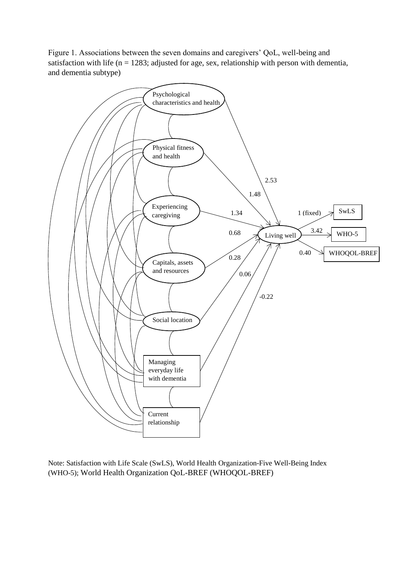Figure 1. Associations between the seven domains and caregivers' QoL, well-being and satisfaction with life ( $n = 1283$ ; adjusted for age, sex, relationship with person with dementia, and dementia subtype)



Note: Satisfaction with Life Scale (SwLS), World Health Organization-Five Well-Being Index (WHO-5); World Health Organization QoL-BREF (WHOQOL-BREF)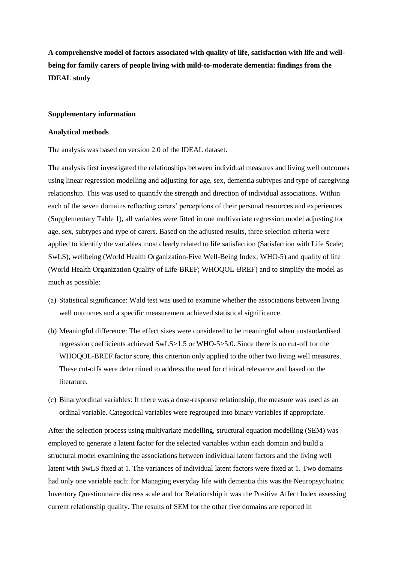**A comprehensive model of factors associated with quality of life, satisfaction with life and wellbeing for family carers of people living with mild-to-moderate dementia: findings from the IDEAL study**

#### **Supplementary information**

#### **Analytical methods**

The analysis was based on version 2.0 of the IDEAL dataset.

The analysis first investigated the relationships between individual measures and living well outcomes using linear regression modelling and adjusting for age, sex, dementia subtypes and type of caregiving relationship. This was used to quantify the strength and direction of individual associations. Within each of the seven domains reflecting carers' perceptions of their personal resources and experiences (Supplementary Table 1), all variables were fitted in one multivariate regression model adjusting for age, sex, subtypes and type of carers. Based on the adjusted results, three selection criteria were applied to identify the variables most clearly related to life satisfaction (Satisfaction with Life Scale; SwLS), wellbeing (World Health Organization-Five Well-Being Index; WHO-5) and quality of life (World Health Organization Quality of Life-BREF; WHOQOL-BREF) and to simplify the model as much as possible:

- (a) Statistical significance: Wald test was used to examine whether the associations between living well outcomes and a specific measurement achieved statistical significance.
- (b) Meaningful difference: The effect sizes were considered to be meaningful when unstandardised regression coefficients achieved SwLS>1.5 or WHO-5>5.0. Since there is no cut-off for the WHOQOL-BREF factor score, this criterion only applied to the other two living well measures. These cut-offs were determined to address the need for clinical relevance and based on the literature.
- (c) Binary/ordinal variables: If there was a dose-response relationship, the measure was used as an ordinal variable. Categorical variables were regrouped into binary variables if appropriate.

After the selection process using multivariate modelling, structural equation modelling (SEM) was employed to generate a latent factor for the selected variables within each domain and build a structural model examining the associations between individual latent factors and the living well latent with SwLS fixed at 1. The variances of individual latent factors were fixed at 1. Two domains had only one variable each: for Managing everyday life with dementia this was the Neuropsychiatric Inventory Questionnaire distress scale and for Relationship it was the Positive Affect Index assessing current relationship quality. The results of SEM for the other five domains are reported in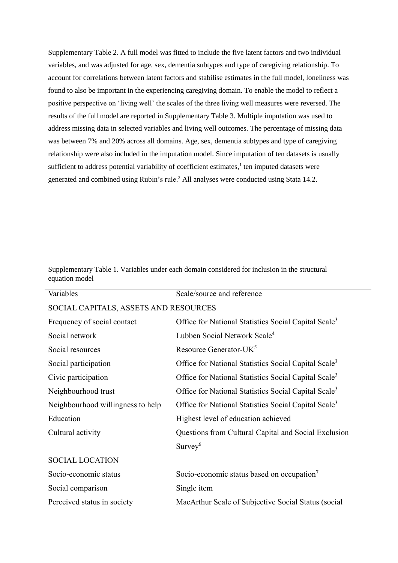Supplementary Table 2. A full model was fitted to include the five latent factors and two individual variables, and was adjusted for age, sex, dementia subtypes and type of caregiving relationship. To account for correlations between latent factors and stabilise estimates in the full model, loneliness was found to also be important in the experiencing caregiving domain. To enable the model to reflect a positive perspective on 'living well' the scales of the three living well measures were reversed. The results of the full model are reported in Supplementary Table 3. Multiple imputation was used to address missing data in selected variables and living well outcomes. The percentage of missing data was between 7% and 20% across all domains. Age, sex, dementia subtypes and type of caregiving relationship were also included in the imputation model. Since imputation of ten datasets is usually sufficient to address potential variability of coefficient estimates, $<sup>1</sup>$  ten imputed datasets were</sup> generated and combined using Rubin's rule. <sup>2</sup> All analyses were conducted using Stata 14.2.

Supplementary Table 1. Variables under each domain considered for inclusion in the structural equation model

| Variables                             | Scale/source and reference                                       |
|---------------------------------------|------------------------------------------------------------------|
| SOCIAL CAPITALS, ASSETS AND RESOURCES |                                                                  |
| Frequency of social contact           | Office for National Statistics Social Capital Scale <sup>3</sup> |
| Social network                        | Lubben Social Network Scale <sup>4</sup>                         |
| Social resources                      | Resource Generator-UK <sup>5</sup>                               |
| Social participation                  | Office for National Statistics Social Capital Scale <sup>3</sup> |
| Civic participation                   | Office for National Statistics Social Capital Scale <sup>3</sup> |
| Neighbourhood trust                   | Office for National Statistics Social Capital Scale <sup>3</sup> |
| Neighbourhood willingness to help     | Office for National Statistics Social Capital Scale <sup>3</sup> |
| Education                             | Highest level of education achieved                              |
| Cultural activity                     | Questions from Cultural Capital and Social Exclusion             |
|                                       | $Survey$ <sup>6</sup>                                            |
| <b>SOCIAL LOCATION</b>                |                                                                  |
| Socio-economic status                 | Socio-economic status based on occupation <sup>7</sup>           |
| Social comparison                     | Single item                                                      |
| Perceived status in society           | MacArthur Scale of Subjective Social Status (social              |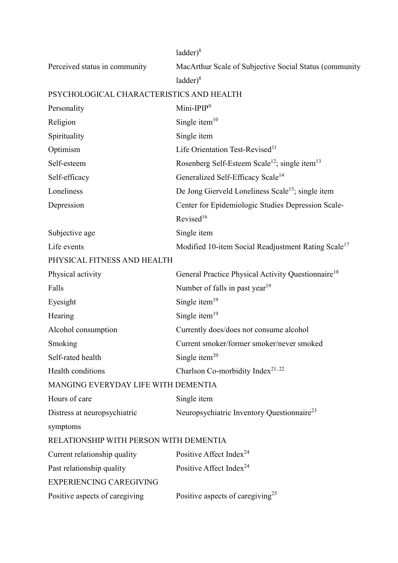|                                          | $ladder)^8$                                                           |
|------------------------------------------|-----------------------------------------------------------------------|
| Perceived status in community            | MacArthur Scale of Subjective Social Status (community                |
|                                          | $ladder)^8$                                                           |
| PSYCHOLOGICAL CHARACTERISTICS AND HEALTH |                                                                       |
| Personality                              | Mini-IPIP $9$                                                         |
| Religion                                 | Single item $10$                                                      |
| Spirituality                             | Single item                                                           |
| Optimism                                 | Life Orientation Test-Revised <sup>11</sup>                           |
| Self-esteem                              | Rosenberg Self-Esteem Scale <sup>12</sup> ; single item <sup>13</sup> |
| Self-efficacy                            | Generalized Self-Efficacy Scale <sup>14</sup>                         |
| Loneliness                               | De Jong Gierveld Loneliness Scale <sup>15</sup> ; single item         |
| Depression                               | Center for Epidemiologic Studies Depression Scale-                    |
|                                          | Revised <sup>16</sup>                                                 |
| Subjective age                           | Single item                                                           |
| Life events                              | Modified 10-item Social Readjustment Rating Scale <sup>17</sup>       |
| PHYSICAL FITNESS AND HEALTH              |                                                                       |
| Physical activity                        | General Practice Physical Activity Questionnaire <sup>18</sup>        |
| Falls                                    | Number of falls in past year <sup>19</sup>                            |
| Eyesight                                 | Single item $19$                                                      |
| Hearing                                  | Single item $19$                                                      |
| Alcohol consumption                      | Currently does/does not consume alcohol                               |
| Smoking                                  | Current smoker/former smoker/never smoked                             |
| Self-rated health                        | Single item $20$                                                      |
| Health conditions                        | Charlson Co-morbidity Index <sup>21, 22</sup>                         |
| MANGING EVERYDAY LIFE WITH DEMENTIA      |                                                                       |
| Hours of care                            | Single item                                                           |
| Distress at neuropsychiatric             | Neuropsychiatric Inventory Questionnaire <sup>23</sup>                |
| symptoms                                 |                                                                       |
| RELATIONSHIP WITH PERSON WITH DEMENTIA   |                                                                       |
| Current relationship quality             | Positive Affect Index <sup>24</sup>                                   |
| Past relationship quality                | Positive Affect Index <sup>24</sup>                                   |
| <b>EXPERIENCING CAREGIVING</b>           |                                                                       |
| Positive aspects of caregiving           | Positive aspects of caregiving <sup>25</sup>                          |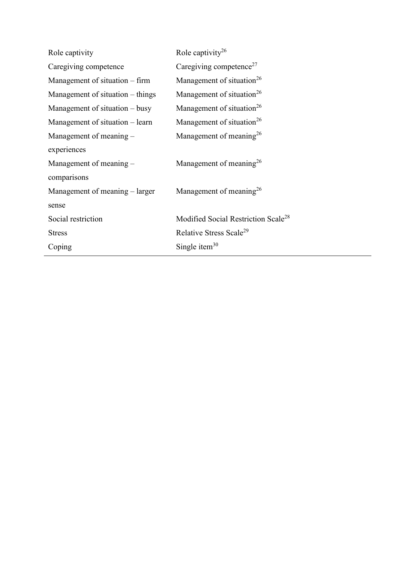| Role captivity                   | Role captivity <sup>26</sup>                    |
|----------------------------------|-------------------------------------------------|
| Caregiving competence            | Caregiving competence <sup>27</sup>             |
| Management of situation – firm   | Management of situation <sup>26</sup>           |
| Management of situation – things | Management of situation <sup>26</sup>           |
| Management of situation $-$ busy | Management of situation <sup>26</sup>           |
| Management of situation – learn  | Management of situation <sup>26</sup>           |
| Management of meaning -          | Management of meaning <sup>26</sup>             |
| experiences                      |                                                 |
| Management of meaning -          | Management of meaning <sup>26</sup>             |
| comparisons                      |                                                 |
| Management of meaning – larger   | Management of meaning <sup>26</sup>             |
| sense                            |                                                 |
| Social restriction               | Modified Social Restriction Scale <sup>28</sup> |
| <b>Stress</b>                    | Relative Stress Scale <sup>29</sup>             |
| Coping                           | Single item <sup>30</sup>                       |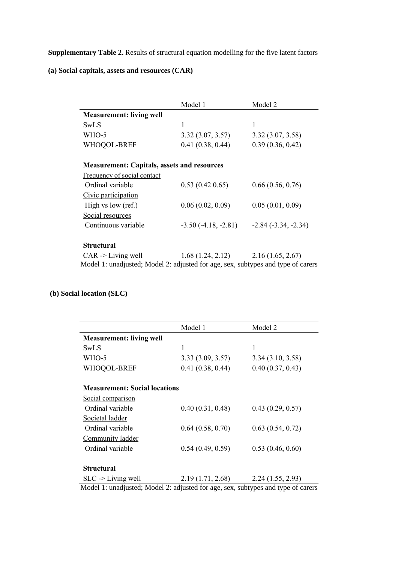**Supplementary Table 2.** Results of structural equation modelling for the five latent factors

**(a) Social capitals, assets and resources (CAR)**

|                                                    | Model 1               | Model 2                  |
|----------------------------------------------------|-----------------------|--------------------------|
| <b>Measurement: living well</b>                    |                       |                          |
| SwLS                                               | 1                     |                          |
| WHO-5                                              | 3.32(3.07, 3.57)      | 3.32(3.07, 3.58)         |
| WHOQOL-BREF                                        | 0.41(0.38, 0.44)      | 0.39(0.36, 0.42)         |
| <b>Measurement: Capitals, assets and resources</b> |                       |                          |
| Frequency of social contact                        |                       |                          |
| Ordinal variable                                   | 0.53(0.420.65)        | 0.66(0.56, 0.76)         |
| Civic participation                                |                       |                          |
| High vs low (ref.)                                 | 0.06(0.02, 0.09)      | 0.05(0.01, 0.09)         |
| Social resources                                   |                       |                          |
| Continuous variable                                | $-3.50(-4.18, -2.81)$ | $-2.84$ $(-3.34, -2.34)$ |
| <b>Structural</b>                                  |                       |                          |
| $CAR$ -> Living well                               | 1.68(1.24, 2.12)      | 2.16(1.65, 2.67)         |

# **(b) Social location (SLC)**

| Model 1                              | Model 2          |
|--------------------------------------|------------------|
| <b>Measurement: living well</b>      |                  |
| 1                                    | 1                |
| 3.33(3.09, 3.57)                     | 3.34(3.10, 3.58) |
| 0.41(0.38, 0.44)                     | 0.40(0.37, 0.43) |
| <b>Measurement: Social locations</b> |                  |
|                                      |                  |
| 0.40(0.31, 0.48)                     | 0.43(0.29, 0.57) |
|                                      |                  |
| 0.64(0.58, 0.70)                     | 0.63(0.54, 0.72) |
|                                      |                  |
| 0.54(0.49, 0.59)                     | 0.53(0.46, 0.60) |
|                                      |                  |
| 2.19(1.71, 2.68)                     | 2.24(1.55, 2.93) |
|                                      |                  |

Model 1: unadjusted; Model 2: adjusted for age, sex, subtypes and type of carers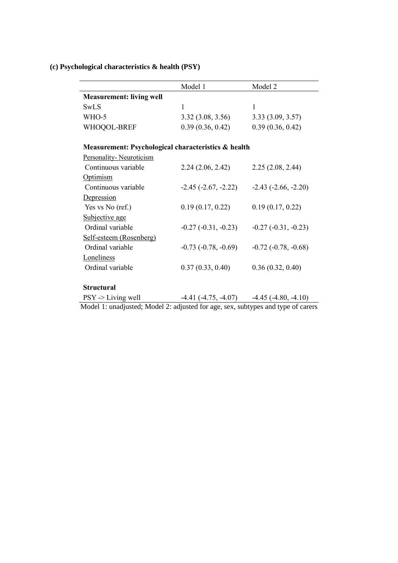# **(c) Psychological characteristics & health (PSY)**

|                                                     | Model 1                    | Model 2                  |
|-----------------------------------------------------|----------------------------|--------------------------|
| <b>Measurement: living well</b>                     |                            |                          |
| SwLS                                                | 1                          | 1                        |
| WHO-5                                               | 3.32(3.08, 3.56)           | 3.33(3.09, 3.57)         |
| WHOQOL-BREF                                         | 0.39(0.36, 0.42)           | 0.39(0.36, 0.42)         |
| Measurement: Psychological characteristics & health |                            |                          |
| Personality-Neuroticism                             |                            |                          |
| Continuous variable                                 | 2.24(2.06, 2.42)           | 2.25(2.08, 2.44)         |
| Optimism                                            |                            |                          |
| Continuous variable                                 | $-2.45$ ( $-2.67, -2.22$ ) | $-2.43$ $(-2.66, -2.20)$ |
| Depression                                          |                            |                          |
| Yes vs No (ref.)                                    | 0.19(0.17, 0.22)           | 0.19(0.17, 0.22)         |
| Subjective age                                      |                            |                          |
| Ordinal variable                                    | $-0.27(-0.31, -0.23)$      | $-0.27$ $(-0.31, -0.23)$ |
| Self-esteem (Rosenberg)                             |                            |                          |
| Ordinal variable                                    | $-0.73$ $(-0.78, -0.69)$   | $-0.72$ $(-0.78, -0.68)$ |
| Loneliness                                          |                            |                          |
| Ordinal variable                                    | 0.37(0.33, 0.40)           | 0.36(0.32, 0.40)         |
|                                                     |                            |                          |

# **Structural**

| $PSY \geq \text{Living well}$                                                    | $-4.41$ ( $-4.75$ , $-4.07$ ) | $-4.45$ ( $-4.80, -4.10$ ) |
|----------------------------------------------------------------------------------|-------------------------------|----------------------------|
| Model 1: unadjusted; Model 2: adjusted for age, sex, subtypes and type of carers |                               |                            |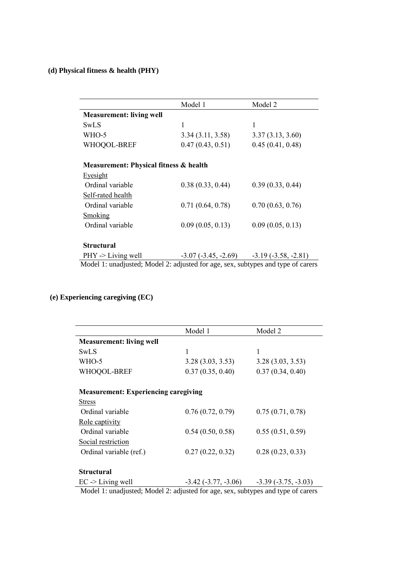# **(d) Physical fitness & health (PHY)**

|                                                                                  | Model 1                                           | Model 2          |
|----------------------------------------------------------------------------------|---------------------------------------------------|------------------|
|                                                                                  |                                                   |                  |
| <b>Measurement: living well</b>                                                  |                                                   |                  |
| SwLS                                                                             | 1                                                 | 1                |
| WHO-5                                                                            | 3.34(3.11, 3.58)                                  | 3.37(3.13, 3.60) |
| WHOQOL-BREF                                                                      | 0.47(0.43, 0.51)                                  | 0.45(0.41, 0.48) |
|                                                                                  |                                                   |                  |
| Measurement: Physical fitness & health                                           |                                                   |                  |
| Eyesight                                                                         |                                                   |                  |
| Ordinal variable                                                                 | 0.38(0.33, 0.44)                                  | 0.39(0.33, 0.44) |
| Self-rated health                                                                |                                                   |                  |
| Ordinal variable                                                                 | 0.71(0.64, 0.78)                                  | 0.70(0.63, 0.76) |
| <b>Smoking</b>                                                                   |                                                   |                  |
| Ordinal variable                                                                 | 0.09(0.05, 0.13)                                  | 0.09(0.05, 0.13) |
|                                                                                  |                                                   |                  |
| <b>Structural</b>                                                                |                                                   |                  |
| $PHY \rightarrow Living$ well                                                    | $-3.07$ $(-3.45, -2.69)$ $-3.19$ $(-3.58, -2.81)$ |                  |
| Model 1: unadjusted; Model 2: adjusted for age, sex, subtypes and type of carers |                                                   |                  |

# **(e) Experiencing caregiving (EC)**

|                                             | Model 1                    | Model 2               |
|---------------------------------------------|----------------------------|-----------------------|
| <b>Measurement: living well</b>             |                            |                       |
| SwLS                                        | 1                          | 1                     |
| WHO-5                                       | 3.28(3.03, 3.53)           | 3.28(3.03, 3.53)      |
| WHOQOL-BREF                                 | 0.37(0.35, 0.40)           | 0.37(0.34, 0.40)      |
|                                             |                            |                       |
| <b>Measurement: Experiencing caregiving</b> |                            |                       |
| <b>Stress</b>                               |                            |                       |
| Ordinal variable                            | 0.76(0.72, 0.79)           | 0.75(0.71, 0.78)      |
| Role captivity                              |                            |                       |
| Ordinal variable                            | 0.54(0.50, 0.58)           | 0.55(0.51, 0.59)      |
| Social restriction                          |                            |                       |
| Ordinal variable (ref.)                     | 0.27(0.22, 0.32)           | 0.28(0.23, 0.33)      |
|                                             |                            |                       |
| <b>Structural</b>                           |                            |                       |
| $EC \rightarrow Living$ well                | $-3.42$ ( $-3.77, -3.06$ ) | $-3.39(-3.75, -3.03)$ |

Model 1: unadjusted; Model 2: adjusted for age, sex, subtypes and type of carers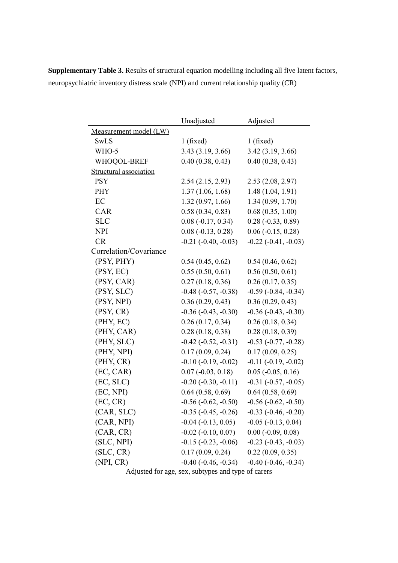**Supplementary Table 3.** Results of structural equation modelling including all five latent factors, neuropsychiatric inventory distress scale (NPI) and current relationship quality (CR)

|                        | Unadjusted               | Adjusted                    |
|------------------------|--------------------------|-----------------------------|
| Measurement model (LW) |                          |                             |
| SwLS                   | 1(fixed)                 | 1(fixed)                    |
| WHO-5                  | 3.43(3.19, 3.66)         | 3.42 (3.19, 3.66)           |
| WHOQOL-BREF            | 0.40(0.38, 0.43)         | 0.40(0.38, 0.43)            |
| Structural association |                          |                             |
| <b>PSY</b>             | 2.54(2.15, 2.93)         | 2.53(2.08, 2.97)            |
| <b>PHY</b>             | 1.37(1.06, 1.68)         | 1.48(1.04, 1.91)            |
| EC                     | 1.32(0.97, 1.66)         | 1.34(0.99, 1.70)            |
| CAR                    | 0.58(0.34, 0.83)         | 0.68(0.35, 1.00)            |
| <b>SLC</b>             | $0.08(-0.17, 0.34)$      | $0.28 (-0.33, 0.89)$        |
| <b>NPI</b>             | $0.08 (-0.13, 0.28)$     | $0.06$ ( $-0.15$ , $0.28$ ) |
| <b>CR</b>              | $-0.21$ $(-0.40, -0.03)$ | $-0.22$ $(-0.41, -0.03)$    |
| Correlation/Covariance |                          |                             |
| (PSY, PHY)             | 0.54(0.45, 0.62)         | 0.54(0.46, 0.62)            |
| (PSY, EC)              | 0.55(0.50, 0.61)         | 0.56(0.50, 0.61)            |
| (PSY, CAR)             | 0.27(0.18, 0.36)         | 0.26(0.17, 0.35)            |
| (PSY, SLC)             | $-0.48$ $(-0.57, -0.38)$ | $-0.59$ $(-0.84, -0.34)$    |
| (PSY, NPI)             | 0.36(0.29, 0.43)         | 0.36(0.29, 0.43)            |
| (PSY, CR)              | $-0.36$ $(-0.43, -0.30)$ | $-0.36$ $(-0.43, -0.30)$    |
| (PHY, EC)              | 0.26(0.17, 0.34)         | 0.26(0.18, 0.34)            |
| (PHY, CAR)             | 0.28(0.18, 0.38)         | 0.28(0.18, 0.39)            |
| (PHY, SLC)             | $-0.42$ $(-0.52, -0.31)$ | $-0.53$ $(-0.77, -0.28)$    |
| (PHY, NPI)             | 0.17(0.09, 0.24)         | 0.17(0.09, 0.25)            |
| (PHY, CR)              | $-0.10$ $(-0.19, -0.02)$ | $-0.11$ $(-0.19, -0.02)$    |
| (EC, CAR)              | $0.07 (-0.03, 0.18)$     | $0.05$ ( $-0.05$ , $0.16$ ) |
| (EC, SLC)              | $-0.20$ $(-0.30, -0.11)$ | $-0.31$ $(-0.57, -0.05)$    |
| (EC, NPI)              | 0.64(0.58, 0.69)         | 0.64(0.58, 0.69)            |
| (EC, CR)               | $-0.56$ $(-0.62, -0.50)$ | $-0.56$ $(-0.62, -0.50)$    |
| (CAR, SLC)             | $-0.35$ $(-0.45, -0.26)$ | $-0.33$ $(-0.46, -0.20)$    |
| (CAR, NPI)             | $-0.04$ $(-0.13, 0.05)$  | $-0.05$ $(-0.13, 0.04)$     |
| (CAR, CR)              | $-0.02$ $(-0.10, 0.07)$  | $0.00$ ( $-0.09$ , $0.08$ ) |
| (SLC, NPI)             | $-0.15$ $(-0.23, -0.06)$ | $-0.23$ $(-0.43, -0.03)$    |
| (SLC, CR)              | 0.17(0.09, 0.24)         | 0.22(0.09, 0.35)            |
| (NPI, CR)              | $-0.40$ $(-0.46, -0.34)$ | $-0.40$ $(-0.46, -0.34)$    |

Adjusted for age, sex, subtypes and type of carers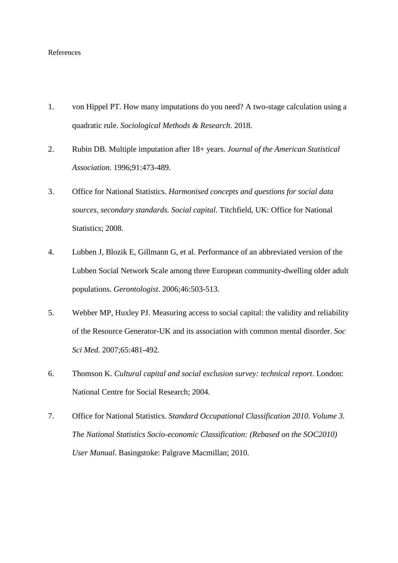#### References

- 1. von Hippel PT. How many imputations do you need? A two-stage calculation using a quadratic rule. *Sociological Methods & Research*. 2018.
- 2. Rubin DB. Multiple imputation after 18+ years. *Journal of the American Statistical Association*. 1996;91:473-489.
- 3. Office for National Statistics. *Harmonised concepts and questions for social data sources, secondary standards. Social capital*. Titchfield, UK: Office for National Statistics; 2008.
- 4. Lubben J, Blozik E, Gillmann G, et al. Performance of an abbreviated version of the Lubben Social Network Scale among three European community-dwelling older adult populations. *Gerontologist*. 2006;46:503-513.
- 5. Webber MP, Huxley PJ. Measuring access to social capital: the validity and reliability of the Resource Generator-UK and its association with common mental disorder. *Soc Sci Med*. 2007;65:481-492.
- 6. Thomson K. *Cultural capital and social exclusion survey: technical report*. London: National Centre for Social Research; 2004.
- 7. Office for National Statistics. *Standard Occupational Classification 2010. Volume 3. The National Statistics Socio-economic Classification: (Rebased on the SOC2010) User Manual*. Basingstoke: Palgrave Macmillan; 2010.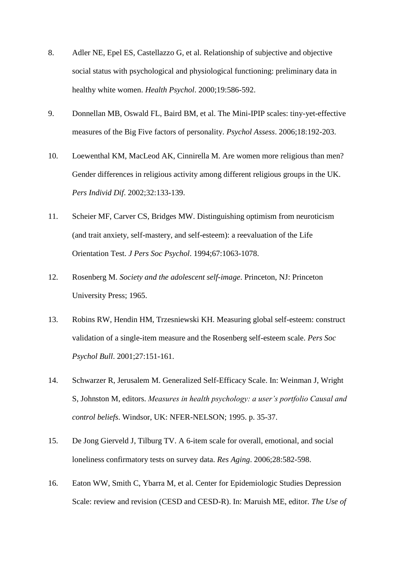- 8. Adler NE, Epel ES, Castellazzo G, et al. Relationship of subjective and objective social status with psychological and physiological functioning: preliminary data in healthy white women. *Health Psychol*. 2000;19:586-592.
- 9. Donnellan MB, Oswald FL, Baird BM, et al. The Mini-IPIP scales: tiny-yet-effective measures of the Big Five factors of personality. *Psychol Assess*. 2006;18:192-203.
- 10. Loewenthal KM, MacLeod AK, Cinnirella M. Are women more religious than men? Gender differences in religious activity among different religious groups in the UK. *Pers Individ Dif*. 2002;32:133-139.
- 11. Scheier MF, Carver CS, Bridges MW. Distinguishing optimism from neuroticism (and trait anxiety, self-mastery, and self-esteem): a reevaluation of the Life Orientation Test. *J Pers Soc Psychol*. 1994;67:1063-1078.
- 12. Rosenberg M. *Society and the adolescent self-image*. Princeton, NJ: Princeton University Press; 1965.
- 13. Robins RW, Hendin HM, Trzesniewski KH. Measuring global self-esteem: construct validation of a single-item measure and the Rosenberg self-esteem scale. *Pers Soc Psychol Bull*. 2001;27:151-161.
- 14. Schwarzer R, Jerusalem M. Generalized Self-Efficacy Scale. In: Weinman J, Wright S, Johnston M, editors. *Measures in health psychology: a user's portfolio Causal and control beliefs*. Windsor, UK: NFER-NELSON; 1995. p. 35-37.
- 15. De Jong Gierveld J, Tilburg TV. A 6-item scale for overall, emotional, and social loneliness confirmatory tests on survey data. *Res Aging*. 2006;28:582-598.
- 16. Eaton WW, Smith C, Ybarra M, et al. Center for Epidemiologic Studies Depression Scale: review and revision (CESD and CESD-R). In: Maruish ME, editor. *The Use of*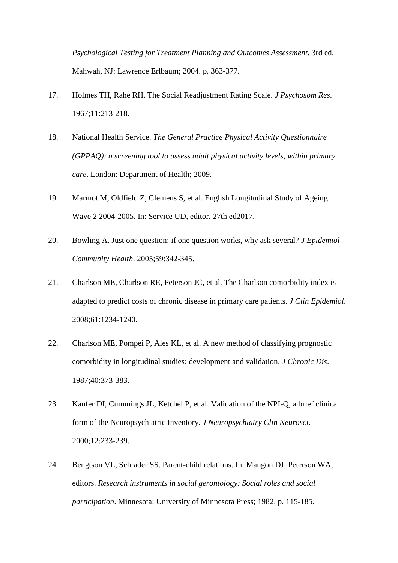*Psychological Testing for Treatment Planning and Outcomes Assessment*. 3rd ed. Mahwah, NJ: Lawrence Erlbaum; 2004. p. 363-377.

- 17. Holmes TH, Rahe RH. The Social Readjustment Rating Scale. *J Psychosom Res*. 1967;11:213-218.
- 18. National Health Service. *The General Practice Physical Activity Questionnaire (GPPAQ): a screening tool to assess adult physical activity levels, within primary care*. London: Department of Health; 2009.
- 19. Marmot M, Oldfield Z, Clemens S, et al. English Longitudinal Study of Ageing: Wave 2 2004-2005. In: Service UD, editor. 27th ed2017.
- 20. Bowling A. Just one question: if one question works, why ask several? *J Epidemiol Community Health*. 2005;59:342-345.
- 21. Charlson ME, Charlson RE, Peterson JC, et al. The Charlson comorbidity index is adapted to predict costs of chronic disease in primary care patients. *J Clin Epidemiol*. 2008;61:1234-1240.
- 22. Charlson ME, Pompei P, Ales KL, et al. A new method of classifying prognostic comorbidity in longitudinal studies: development and validation. *J Chronic Dis*. 1987;40:373-383.
- 23. Kaufer DI, Cummings JL, Ketchel P, et al. Validation of the NPI-Q, a brief clinical form of the Neuropsychiatric Inventory. *J Neuropsychiatry Clin Neurosci*. 2000;12:233-239.
- 24. Bengtson VL, Schrader SS. Parent-child relations. In: Mangon DJ, Peterson WA, editors. *Research instruments in social gerontology: Social roles and social participation*. Minnesota: University of Minnesota Press; 1982. p. 115-185.